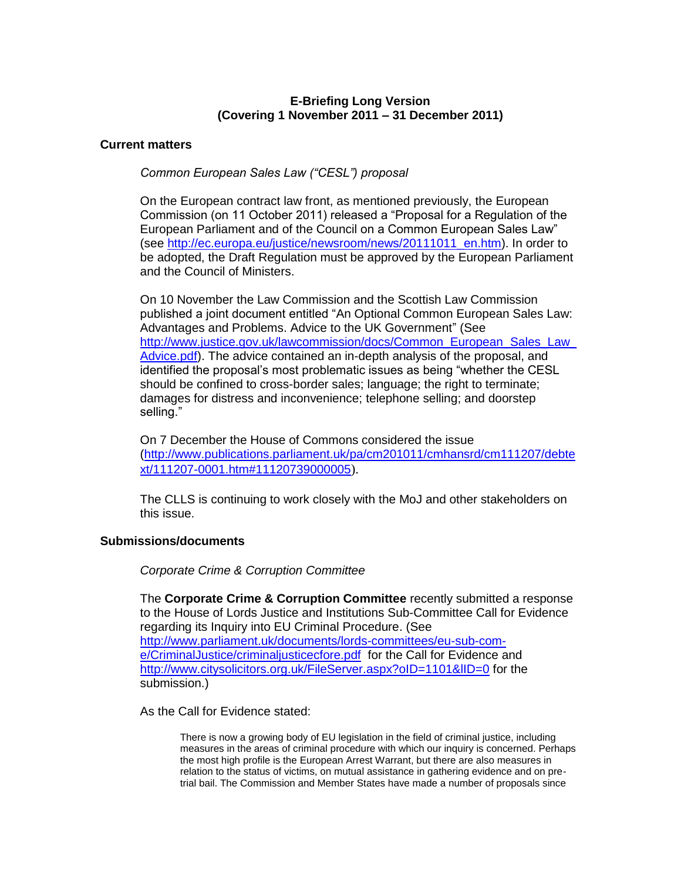# **E-Briefing Long Version (Covering 1 November 2011 – 31 December 2011)**

# **Current matters**

# *Common European Sales Law ("CESL") proposal*

On the European contract law front, as mentioned previously, the European Commission (on 11 October 2011) released a "Proposal for a Regulation of the European Parliament and of the Council on a Common European Sales Law" (see [http://ec.europa.eu/justice/newsroom/news/20111011\\_en.htm\)](http://ec.europa.eu/justice/newsroom/news/20111011_en.htm). In order to be adopted, the Draft Regulation must be approved by the European Parliament and the Council of Ministers.

On 10 November the Law Commission and the Scottish Law Commission published a joint document entitled "An Optional Common European Sales Law: Advantages and Problems. Advice to the UK Government" (See http://www.justice.gov.uk/lawcommission/docs/Common\_European\_Sales\_Law [Advice.pdf\)](http://www.justice.gov.uk/lawcommission/docs/Common_European_Sales_Law_Advice.pdf). The advice contained an in-depth analysis of the proposal, and identified the proposal's most problematic issues as being "whether the CESL should be confined to cross-border sales; language; the right to terminate; damages for distress and inconvenience; telephone selling; and doorstep selling."

On 7 December the House of Commons considered the issue [\(http://www.publications.parliament.uk/pa/cm201011/cmhansrd/cm111207/debte](http://www.publications.parliament.uk/pa/cm201011/cmhansrd/cm111207/debtext/111207-0001.htm#11120739000005) [xt/111207-0001.htm#11120739000005](http://www.publications.parliament.uk/pa/cm201011/cmhansrd/cm111207/debtext/111207-0001.htm#11120739000005)).

The CLLS is continuing to work closely with the MoJ and other stakeholders on this issue.

# **Submissions/documents**

*Corporate Crime & Corruption Committee*

The **Corporate Crime & Corruption Committee** recently submitted a response to the House of Lords Justice and Institutions Sub-Committee Call for Evidence regarding its Inquiry into EU Criminal Procedure. (See [http://www.parliament.uk/documents/lords-committees/eu-sub-com](http://www.parliament.uk/documents/lords-committees/eu-sub-com-e/CriminalJustice/criminaljusticecfore.pdf)[e/CriminalJustice/criminaljusticecfore.pdf](http://www.parliament.uk/documents/lords-committees/eu-sub-com-e/CriminalJustice/criminaljusticecfore.pdf) for the Call for Evidence and http://www.citysolicitors.org.uk/FileServer.aspx?oID=1101&IID=0 for the submission.)

As the Call for Evidence stated:

There is now a growing body of EU legislation in the field of criminal justice, including measures in the areas of criminal procedure with which our inquiry is concerned. Perhaps the most high profile is the European Arrest Warrant, but there are also measures in relation to the status of victims, on mutual assistance in gathering evidence and on pretrial bail. The Commission and Member States have made a number of proposals since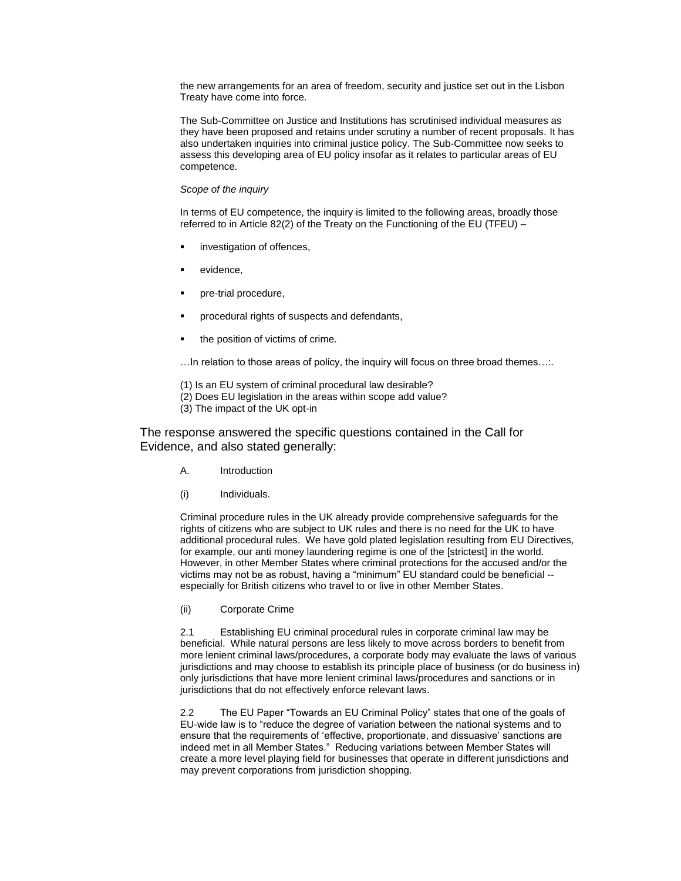the new arrangements for an area of freedom, security and justice set out in the Lisbon Treaty have come into force.

The Sub-Committee on Justice and Institutions has scrutinised individual measures as they have been proposed and retains under scrutiny a number of recent proposals. It has also undertaken inquiries into criminal justice policy. The Sub-Committee now seeks to assess this developing area of EU policy insofar as it relates to particular areas of EU competence.

### *Scope of the inquiry*

In terms of EU competence, the inquiry is limited to the following areas, broadly those referred to in Article 82(2) of the Treaty on the Functioning of the EU (TFEU) –

- investigation of offences,
- evidence,
- pre-trial procedure,
- procedural rights of suspects and defendants,
- the position of victims of crime.

…In relation to those areas of policy, the inquiry will focus on three broad themes…:.

- (1) Is an EU system of criminal procedural law desirable?
- (2) Does EU legislation in the areas within scope add value?
- (3) The impact of the UK opt-in

The response answered the specific questions contained in the Call for Evidence, and also stated generally:

- A. Introduction
- (i) Individuals.

Criminal procedure rules in the UK already provide comprehensive safeguards for the rights of citizens who are subject to UK rules and there is no need for the UK to have additional procedural rules. We have gold plated legislation resulting from EU Directives, for example, our anti money laundering regime is one of the [strictest] in the world. However, in other Member States where criminal protections for the accused and/or the victims may not be as robust, having a "minimum" EU standard could be beneficial - especially for British citizens who travel to or live in other Member States.

(ii) Corporate Crime

2.1 Establishing EU criminal procedural rules in corporate criminal law may be beneficial. While natural persons are less likely to move across borders to benefit from more lenient criminal laws/procedures, a corporate body may evaluate the laws of various jurisdictions and may choose to establish its principle place of business (or do business in) only jurisdictions that have more lenient criminal laws/procedures and sanctions or in jurisdictions that do not effectively enforce relevant laws.

2.2 The EU Paper "Towards an EU Criminal Policy" states that one of the goals of EU-wide law is to "reduce the degree of variation between the national systems and to ensure that the requirements of 'effective, proportionate, and dissuasive' sanctions are indeed met in all Member States." Reducing variations between Member States will create a more level playing field for businesses that operate in different jurisdictions and may prevent corporations from jurisdiction shopping.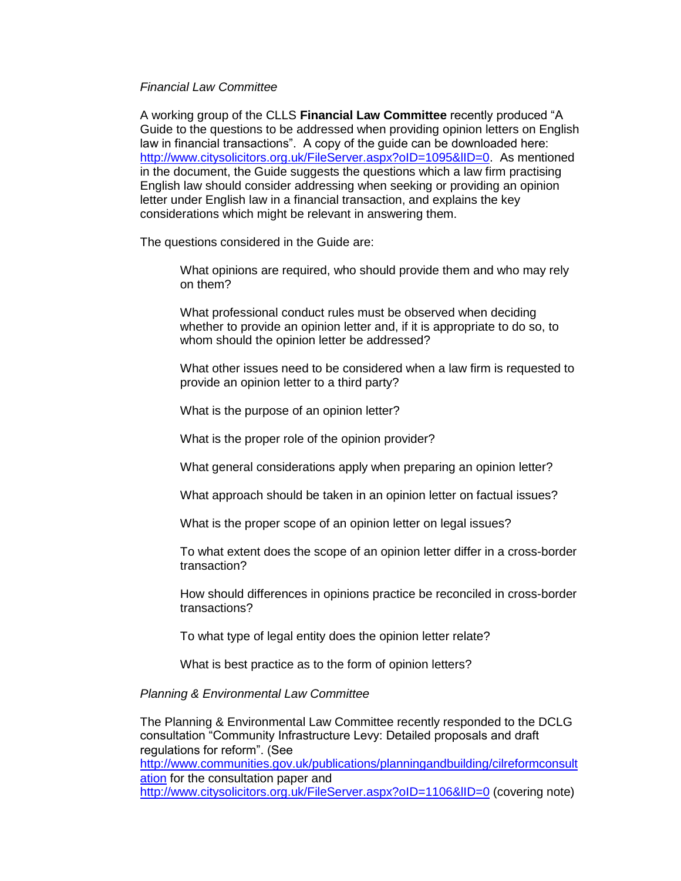### *Financial Law Committee*

A working group of the CLLS **Financial Law Committee** recently produced "A Guide to the questions to be addressed when providing opinion letters on English law in financial transactions". A copy of the guide can be downloaded here: http://www.citysolicitors.org.uk/FileServer.aspx?oID=1095&IID=0. As mentioned in the document, the Guide suggests the questions which a law firm practising English law should consider addressing when seeking or providing an opinion letter under English law in a financial transaction, and explains the key considerations which might be relevant in answering them.

The questions considered in the Guide are:

What opinions are required, who should provide them and who may rely on them?

What professional conduct rules must be observed when deciding whether to provide an opinion letter and, if it is appropriate to do so, to whom should the opinion letter be addressed?

What other issues need to be considered when a law firm is requested to provide an opinion letter to a third party?

What is the purpose of an opinion letter?

What is the proper role of the opinion provider?

What general considerations apply when preparing an opinion letter?

What approach should be taken in an opinion letter on factual issues?

What is the proper scope of an opinion letter on legal issues?

To what extent does the scope of an opinion letter differ in a cross-border transaction?

How should differences in opinions practice be reconciled in cross-border transactions?

To what type of legal entity does the opinion letter relate?

What is best practice as to the form of opinion letters?

# *Planning & Environmental Law Committee*

The Planning & Environmental Law Committee recently responded to the DCLG consultation "Community Infrastructure Levy: Detailed proposals and draft regulations for reform". (See [http://www.communities.gov.uk/publications/planningandbuilding/cilreformconsult](http://www.communities.gov.uk/publications/planningandbuilding/cilreformconsultation) [ation](http://www.communities.gov.uk/publications/planningandbuilding/cilreformconsultation) for the consultation paper and <http://www.citysolicitors.org.uk/FileServer.aspx?oID=1106&lID=0> (covering note)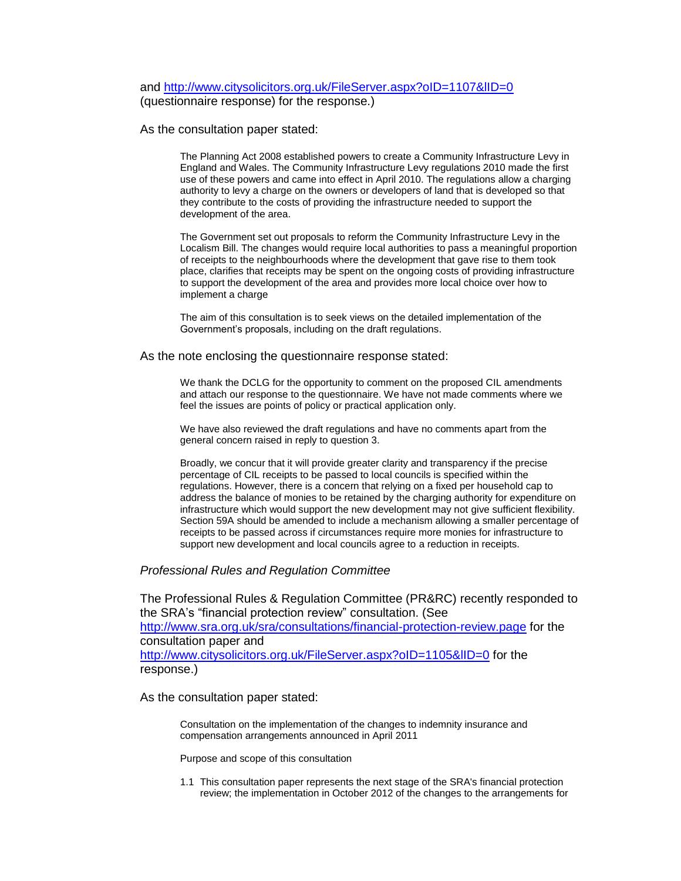### and<http://www.citysolicitors.org.uk/FileServer.aspx?oID=1107&lID=0> (questionnaire response) for the response.)

As the consultation paper stated:

The Planning Act 2008 established powers to create a Community Infrastructure Levy in England and Wales. The Community Infrastructure Levy regulations 2010 made the first use of these powers and came into effect in April 2010. The regulations allow a charging authority to levy a charge on the owners or developers of land that is developed so that they contribute to the costs of providing the infrastructure needed to support the development of the area.

The Government set out proposals to reform the Community Infrastructure Levy in the Localism Bill. The changes would require local authorities to pass a meaningful proportion of receipts to the neighbourhoods where the development that gave rise to them took place, clarifies that receipts may be spent on the ongoing costs of providing infrastructure to support the development of the area and provides more local choice over how to implement a charge

The aim of this consultation is to seek views on the detailed implementation of the Government's proposals, including on the draft regulations.

#### As the note enclosing the questionnaire response stated:

We thank the DCLG for the opportunity to comment on the proposed CIL amendments and attach our response to the questionnaire. We have not made comments where we feel the issues are points of policy or practical application only.

We have also reviewed the draft regulations and have no comments apart from the general concern raised in reply to question 3.

Broadly, we concur that it will provide greater clarity and transparency if the precise percentage of CIL receipts to be passed to local councils is specified within the regulations. However, there is a concern that relying on a fixed per household cap to address the balance of monies to be retained by the charging authority for expenditure on infrastructure which would support the new development may not give sufficient flexibility. Section 59A should be amended to include a mechanism allowing a smaller percentage of receipts to be passed across if circumstances require more monies for infrastructure to support new development and local councils agree to a reduction in receipts.

### *Professional Rules and Regulation Committee*

The Professional Rules & Regulation Committee (PR&RC) recently responded to the SRA's "financial protection review" consultation. (See <http://www.sra.org.uk/sra/consultations/financial-protection-review.page> for the consultation paper and <http://www.citysolicitors.org.uk/FileServer.aspx?oID=1105&lID=0> for the response.)

As the consultation paper stated:

Consultation on the implementation of the changes to indemnity insurance and compensation arrangements announced in April 2011

Purpose and scope of this consultation

1.1 This consultation paper represents the next stage of the SRA's financial protection review; the implementation in October 2012 of the changes to the arrangements for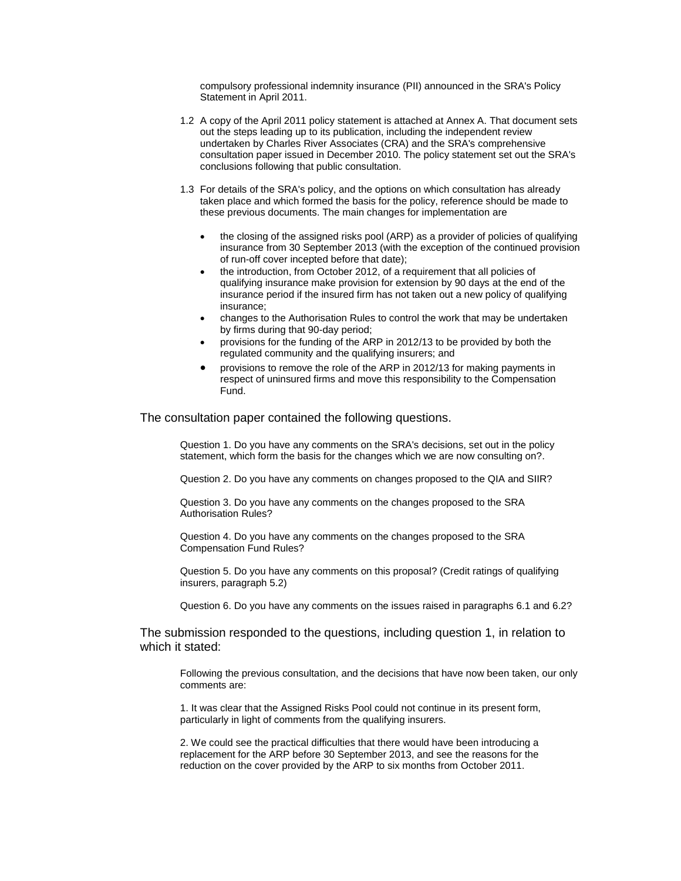compulsory professional indemnity insurance (PII) announced in the SRA's Policy Statement in April 2011.

- 1.2 A copy of the April 2011 policy statement is attached at Annex A. That document sets out the steps leading up to its publication, including the independent review undertaken by Charles River Associates (CRA) and the SRA's comprehensive consultation paper issued in December 2010. The policy statement set out the SRA's conclusions following that public consultation.
- 1.3 For details of the SRA's policy, and the options on which consultation has already taken place and which formed the basis for the policy, reference should be made to these previous documents. The main changes for implementation are
	- the closing of the assigned risks pool (ARP) as a provider of policies of qualifying insurance from 30 September 2013 (with the exception of the continued provision of run-off cover incepted before that date);
	- the introduction, from October 2012, of a requirement that all policies of qualifying insurance make provision for extension by 90 days at the end of the insurance period if the insured firm has not taken out a new policy of qualifying insurance;
	- changes to the Authorisation Rules to control the work that may be undertaken by firms during that 90-day period;
	- provisions for the funding of the ARP in 2012/13 to be provided by both the regulated community and the qualifying insurers; and
	- provisions to remove the role of the ARP in 2012/13 for making payments in respect of uninsured firms and move this responsibility to the Compensation Fund.

The consultation paper contained the following questions.

Question 1. Do you have any comments on the SRA's decisions, set out in the policy statement, which form the basis for the changes which we are now consulting on?.

Question 2. Do you have any comments on changes proposed to the QIA and SIIR?

Question 3. Do you have any comments on the changes proposed to the SRA Authorisation Rules?

Question 4. Do you have any comments on the changes proposed to the SRA Compensation Fund Rules?

Question 5. Do you have any comments on this proposal? (Credit ratings of qualifying insurers, paragraph 5.2)

Question 6. Do you have any comments on the issues raised in paragraphs 6.1 and 6.2?

The submission responded to the questions, including question 1, in relation to which it stated:

Following the previous consultation, and the decisions that have now been taken, our only comments are:

1. It was clear that the Assigned Risks Pool could not continue in its present form, particularly in light of comments from the qualifying insurers.

2. We could see the practical difficulties that there would have been introducing a replacement for the ARP before 30 September 2013, and see the reasons for the reduction on the cover provided by the ARP to six months from October 2011.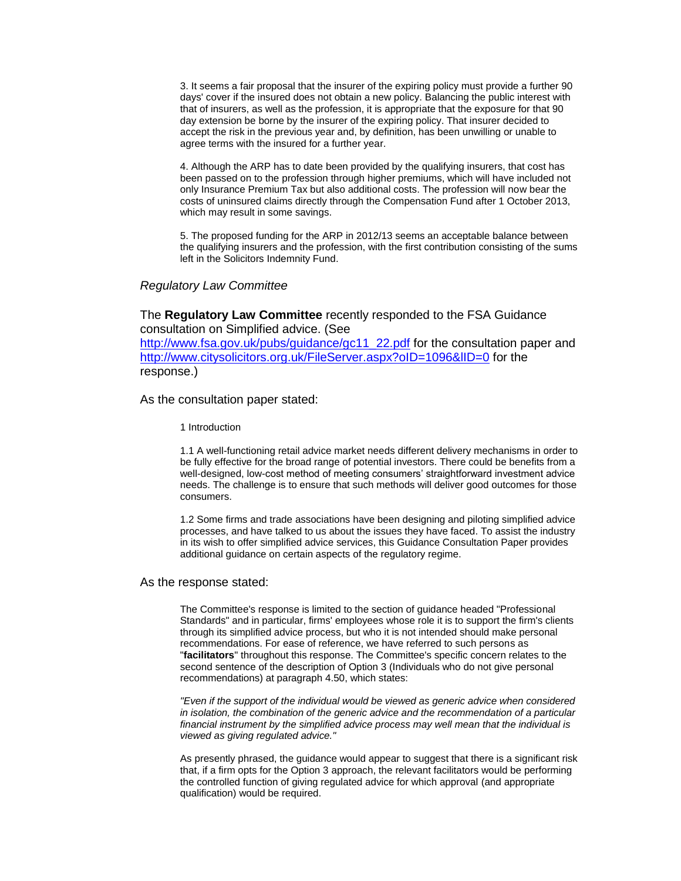3. It seems a fair proposal that the insurer of the expiring policy must provide a further 90 days' cover if the insured does not obtain a new policy. Balancing the public interest with that of insurers, as well as the profession, it is appropriate that the exposure for that 90 day extension be borne by the insurer of the expiring policy. That insurer decided to accept the risk in the previous year and, by definition, has been unwilling or unable to agree terms with the insured for a further year.

4. Although the ARP has to date been provided by the qualifying insurers, that cost has been passed on to the profession through higher premiums, which will have included not only Insurance Premium Tax but also additional costs. The profession will now bear the costs of uninsured claims directly through the Compensation Fund after 1 October 2013, which may result in some savings.

5. The proposed funding for the ARP in 2012/13 seems an acceptable balance between the qualifying insurers and the profession, with the first contribution consisting of the sums left in the Solicitors Indemnity Fund.

### *Regulatory Law Committee*

The **Regulatory Law Committee** recently responded to the FSA Guidance consultation on Simplified advice. (See [http://www.fsa.gov.uk/pubs/guidance/gc11\\_22.pdf](http://www.fsa.gov.uk/pubs/guidance/gc11_22.pdf) for the consultation paper and http://www.citysolicitors.org.uk/FileServer.aspx?oID=1096&IID=0 for the response.)

### As the consultation paper stated:

1 Introduction

1.1 A well-functioning retail advice market needs different delivery mechanisms in order to be fully effective for the broad range of potential investors. There could be benefits from a well-designed, low-cost method of meeting consumers' straightforward investment advice needs. The challenge is to ensure that such methods will deliver good outcomes for those consumers.

1.2 Some firms and trade associations have been designing and piloting simplified advice processes, and have talked to us about the issues they have faced. To assist the industry in its wish to offer simplified advice services, this Guidance Consultation Paper provides additional guidance on certain aspects of the regulatory regime.

#### As the response stated:

The Committee's response is limited to the section of guidance headed "Professional Standards" and in particular, firms' employees whose role it is to support the firm's clients through its simplified advice process, but who it is not intended should make personal recommendations. For ease of reference, we have referred to such persons as "**facilitators**" throughout this response. The Committee's specific concern relates to the second sentence of the description of Option 3 (Individuals who do not give personal recommendations) at paragraph 4.50, which states:

*"Even if the support of the individual would be viewed as generic advice when considered in isolation, the combination of the generic advice and the recommendation of a particular financial instrument by the simplified advice process may well mean that the individual is viewed as giving regulated advice."* 

As presently phrased, the guidance would appear to suggest that there is a significant risk that, if a firm opts for the Option 3 approach, the relevant facilitators would be performing the controlled function of giving regulated advice for which approval (and appropriate qualification) would be required.